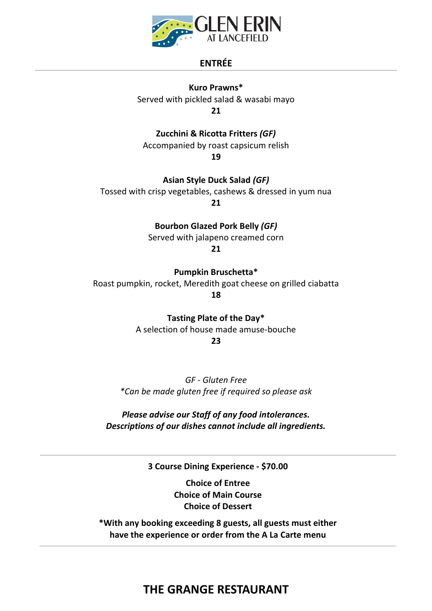

## **ENTRÉE**

**Kuro Prawns\*** Served with pickled salad & wasabi mayo **21**

**Zucchini & Ricotta Fritters** *(GF)* Accompanied by roast capsicum relish

**19**

**Asian Style Duck Salad** *(GF)*

Tossed with crisp vegetables, cashews & dressed in yum nua

**21**

**Bourbon Glazed Pork Belly** *(GF)*

Served with jalapeno creamed corn

**21**

**Pumpkin Bruschetta\***

Roast pumpkin, rocket, Meredith goat cheese on grilled ciabatta **18**

**Tasting Plate of the Day\***

A selection of house made amuse-bouche

**23**

*GF - Gluten Free \*Can be made gluten free if required so please ask*

*Please advise our Staff of any food intolerances. Descriptions of our dishes cannot include all ingredients.*

**3 Course Dining Experience - \$70.00**

**Choice of Entree Choice of Main Course Choice of Dessert**

**\*With any booking exceeding 8 guests, all guests must either have the experience or order from the A La Carte menu**

# **THE GRANGE RESTAURANT**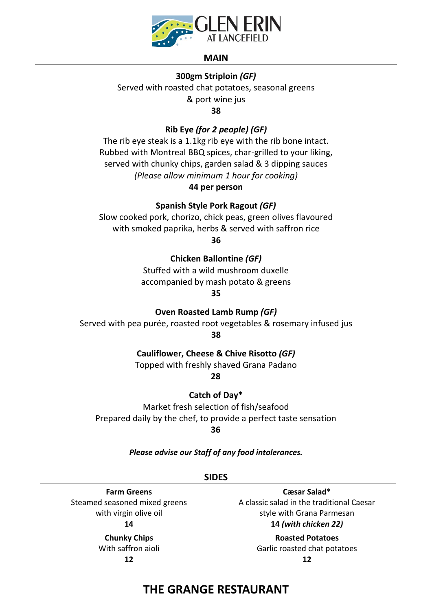

#### **MAIN**

### **300gm Striploin** *(GF)*

Served with roasted chat potatoes, seasonal greens & port wine jus

**38**

### **Rib Eye** *(for 2 people) (GF)*

The rib eye steak is a 1.1kg rib eye with the rib bone intact. Rubbed with Montreal BBQ spices, char-grilled to your liking, served with chunky chips, garden salad & 3 dipping sauces *(Please allow minimum 1 hour for cooking)*

## **44 per person**

#### **Spanish Style Pork Ragout** *(GF)*

Slow cooked pork, chorizo, chick peas, green olives flavoured with smoked paprika, herbs & served with saffron rice

**36**

## **Chicken Ballontine** *(GF)*

Stuffed with a wild mushroom duxelle accompanied by mash potato & greens

**35**

#### **Oven Roasted Lamb Rump** *(GF)*

Served with pea purée, roasted root vegetables & rosemary infused jus **38**

#### **Cauliflower, Cheese & Chive Risotto** *(GF)*

Topped with freshly shaved Grana Padano

**28**

**Catch of Day\***

Market fresh selection of fish/seafood Prepared daily by the chef, to provide a perfect taste sensation

**36**

*Please advise our Staff of any food intolerances.*

#### **SIDES**

**Farm Greens** Steamed seasoned mixed greens with virgin olive oil **14**

> **Chunky Chips** With saffron aioli **12**

**Cæsar Salad\*** A classic salad in the traditional Caesar style with Grana Parmesan **14** *(with chicken 22)*

> **Roasted Potatoes** Garlic roasted chat potatoes **12**

# **THE GRANGE RESTAURANT**